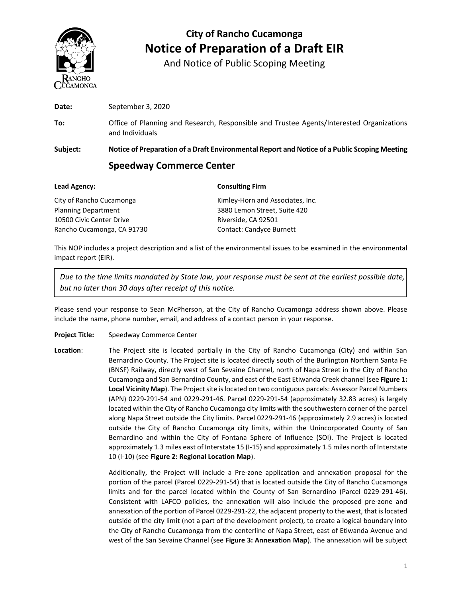

And Notice of Public Scoping Meeting

|          | <b>Speedway Commerce Center</b>                                                                             |  |  |  |
|----------|-------------------------------------------------------------------------------------------------------------|--|--|--|
| Subject: | Notice of Preparation of a Draft Environmental Report and Notice of a Public Scoping Meeting                |  |  |  |
| To:      | Office of Planning and Research, Responsible and Trustee Agents/Interested Organizations<br>and Individuals |  |  |  |
| Date:    | September 3, 2020                                                                                           |  |  |  |
|          |                                                                                                             |  |  |  |

| <b>Lead Agency:</b>        | <b>Consulting Firm</b>           |  |  |
|----------------------------|----------------------------------|--|--|
| City of Rancho Cucamonga   | Kimley-Horn and Associates, Inc. |  |  |
| <b>Planning Department</b> | 3880 Lemon Street, Suite 420     |  |  |
| 10500 Civic Center Drive   | Riverside, CA 92501              |  |  |
| Rancho Cucamonga, CA 91730 | <b>Contact: Candyce Burnett</b>  |  |  |

This NOP includes a project description and a list of the environmental issues to be examined in the environmental impact report (EIR).

*Due to the time limits mandated by State law, your response must be sent at the earliest possible date, but no later than 30 days after receipt of this notice.*

Please send your response to Sean McPherson, at the City of Rancho Cucamonga address shown above. Please include the name, phone number, email, and address of a contact person in your response.

- **Project Title:** Speedway Commerce Center
- **Location**: The Project site is located partially in the City of Rancho Cucamonga (City) and within San Bernardino County. The Project site is located directly south of the Burlington Northern Santa Fe (BNSF) Railway, directly west of San Sevaine Channel, north of Napa Street in the City of Rancho Cucamonga and San Bernardino County, and east of the East Etiwanda Creek channel (see **Figure 1: Local Vicinity Map**). The Project site is located on two contiguous parcels: Assessor Parcel Numbers (APN) 0229-291-54 and 0229-291-46. Parcel 0229-291-54 (approximately 32.83 acres) is largely located within the City of Rancho Cucamonga city limits with the southwestern corner of the parcel along Napa Street outside the City limits. Parcel 0229-291-46 (approximately 2.9 acres) is located outside the City of Rancho Cucamonga city limits, within the Unincorporated County of San Bernardino and within the City of Fontana Sphere of Influence (SOI). The Project is located approximately 1.3 miles east of Interstate 15 (I-15) and approximately 1.5 miles north of Interstate 10 (I-10) (see **Figure 2: Regional Location Map**).

Additionally, the Project will include a Pre-zone application and annexation proposal for the portion of the parcel (Parcel 0229-291-54) that is located outside the City of Rancho Cucamonga limits and for the parcel located within the County of San Bernardino (Parcel 0229-291-46). Consistent with LAFCO policies, the annexation will also include the proposed pre-zone and annexation of the portion of Parcel 0229-291-22, the adjacent property to the west, that is located outside of the city limit (not a part of the development project), to create a logical boundary into the City of Rancho Cucamonga from the centerline of Napa Street, east of Etiwanda Avenue and west of the San Sevaine Channel (see **Figure 3: Annexation Map**). The annexation will be subject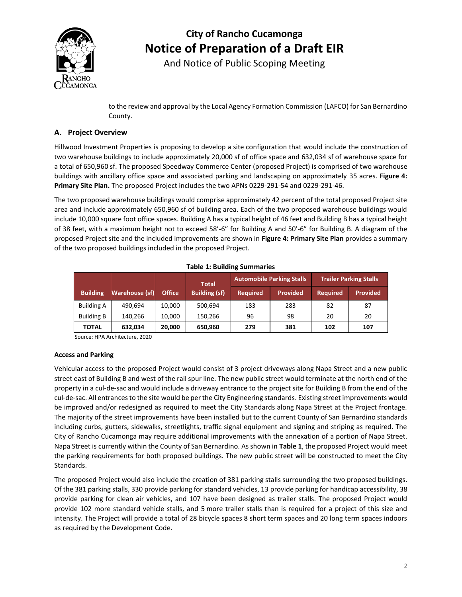

And Notice of Public Scoping Meeting

to the review and approval by the Local Agency Formation Commission (LAFCO) for San Bernardino County.

### **A. Project Overview**

Hillwood Investment Properties is proposing to develop a site configuration that would include the construction of two warehouse buildings to include approximately 20,000 sf of office space and 632,034 sf of warehouse space for a total of 650,960 sf. The proposed Speedway Commerce Center (proposed Project) is comprised of two warehouse buildings with ancillary office space and associated parking and landscaping on approximately 35 acres. **Figure 4: Primary Site Plan.** The proposed Project includes the two APNs 0229-291-54 and 0229-291-46.

The two proposed warehouse buildings would comprise approximately 42 percent of the total proposed Project site area and include approximately 650,960 sf of building area. Each of the two proposed warehouse buildings would include 10,000 square foot office spaces. Building A has a typical height of 46 feet and Building B has a typical height of 38 feet, with a maximum height not to exceed 58'-6" for Building A and 50'-6" for Building B. A diagram of the proposed Project site and the included improvements are shown in **Figure 4: Primary Site Plan** provides a summary of the two proposed buildings included in the proposed Project.

|                   |                |               |                                      |                 | <b>Automobile Parking Stalls</b> |                 | <b>Trailer Parking Stalls</b> |
|-------------------|----------------|---------------|--------------------------------------|-----------------|----------------------------------|-----------------|-------------------------------|
| <b>Building</b>   | Warehouse (sf) | <b>Office</b> | <b>Total</b><br><b>Building (sf)</b> | <b>Required</b> | <b>Provided</b>                  | <b>Required</b> | <b>Provided</b>               |
| <b>Building A</b> | 490,694        | 10,000        | 500,694                              | 183             | 283                              | 82              | 87                            |
| <b>Building B</b> | 140,266        | 10,000        | 150,266                              | 96              | 98                               | 20              | 20                            |
| <b>TOTAL</b>      | 632,034        | 20,000        | 650,960                              | 279             | 381                              | 102             | 107                           |

**Table 1: Building Summaries**

Source: HPA Architecture, 2020

#### **Access and Parking**

Vehicular access to the proposed Project would consist of 3 project driveways along Napa Street and a new public street east of Building B and west of the rail spur line. The new public street would terminate at the north end of the property in a cul-de-sac and would include a driveway entrance to the project site for Building B from the end of the cul-de-sac. All entrances to the site would be per the City Engineering standards. Existing street improvements would be improved and/or redesigned as required to meet the City Standards along Napa Street at the Project frontage. The majority of the street improvements have been installed but to the current County of San Bernardino standards including curbs, gutters, sidewalks, streetlights, traffic signal equipment and signing and striping as required. The City of Rancho Cucamonga may require additional improvements with the annexation of a portion of Napa Street. Napa Street is currently within the County of San Bernardino. As shown in **Table 1**, the proposed Project would meet the parking requirements for both proposed buildings. The new public street will be constructed to meet the City Standards.

The proposed Project would also include the creation of 381 parking stalls surrounding the two proposed buildings. Of the 381 parking stalls, 330 provide parking for standard vehicles, 13 provide parking for handicap accessibility, 38 provide parking for clean air vehicles, and 107 have been designed as trailer stalls. The proposed Project would provide 102 more standard vehicle stalls, and 5 more trailer stalls than is required for a project of this size and intensity. The Project will provide a total of 28 bicycle spaces 8 short term spaces and 20 long term spaces indoors as required by the Development Code.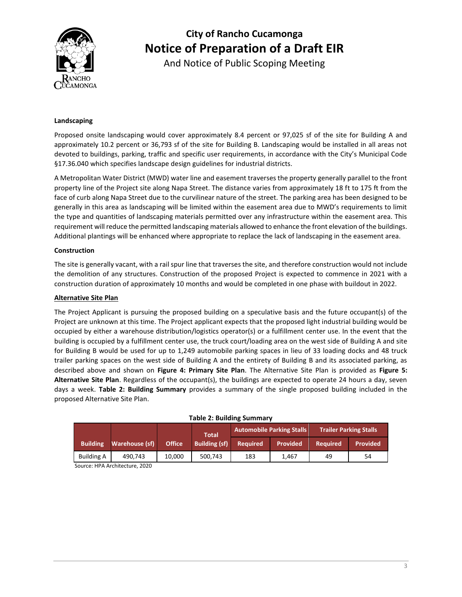

And Notice of Public Scoping Meeting

#### **Landscaping**

Proposed onsite landscaping would cover approximately 8.4 percent or 97,025 sf of the site for Building A and approximately 10.2 percent or 36,793 sf of the site for Building B. Landscaping would be installed in all areas not devoted to buildings, parking, traffic and specific user requirements, in accordance with the City's Municipal Code §17.36.040 which specifies landscape design guidelines for industrial districts.

A Metropolitan Water District (MWD) water line and easement traverses the property generally parallel to the front property line of the Project site along Napa Street. The distance varies from approximately 18 ft to 175 ft from the face of curb along Napa Street due to the curvilinear nature of the street. The parking area has been designed to be generally in this area as landscaping will be limited within the easement area due to MWD's requirements to limit the type and quantities of landscaping materials permitted over any infrastructure within the easement area. This requirement will reduce the permitted landscaping materials allowed to enhance the front elevation of the buildings. Additional plantings will be enhanced where appropriate to replace the lack of landscaping in the easement area.

#### **Construction**

The site is generally vacant, with a rail spur line that traverses the site, and therefore construction would not include the demolition of any structures. Construction of the proposed Project is expected to commence in 2021 with a construction duration of approximately 10 months and would be completed in one phase with buildout in 2022.

#### **Alternative Site Plan**

The Project Applicant is pursuing the proposed building on a speculative basis and the future occupant(s) of the Project are unknown at this time. The Project applicant expects that the proposed light industrial building would be occupied by either a warehouse distribution/logistics operator(s) or a fulfillment center use. In the event that the building is occupied by a fulfillment center use, the truck court/loading area on the west side of Building A and site for Building B would be used for up to 1,249 automobile parking spaces in lieu of 33 loading docks and 48 truck trailer parking spaces on the west side of Building A and the entirety of Building B and its associated parking, as described above and shown on **Figure 4: Primary Site Plan**. The Alternative Site Plan is provided as **Figure 5: Alternative Site Plan**. Regardless of the occupant(s), the buildings are expected to operate 24 hours a day, seven days a week. **Table 2: Building Summary** provides a summary of the single proposed building included in the proposed Alternative Site Plan.

| $1900C$ <b>E</b> : Danamic January |                |               |                      |                                  |                 |                               |                 |
|------------------------------------|----------------|---------------|----------------------|----------------------------------|-----------------|-------------------------------|-----------------|
|                                    |                |               | <b>Total</b>         | <b>Automobile Parking Stalls</b> |                 | <b>Trailer Parking Stalls</b> |                 |
| <b>Building</b>                    | Warehouse (sf) | <b>Office</b> | <b>Building (sf)</b> | <b>Required</b>                  | <b>Provided</b> | <b>Required</b>               | <b>Provided</b> |
| <b>Building A</b>                  | 490.743        | 10.000        | 500.743              | 183                              | 1.467           | 49                            | 54              |

#### **Table 2: Building Summary**

Source: HPA Architecture, 2020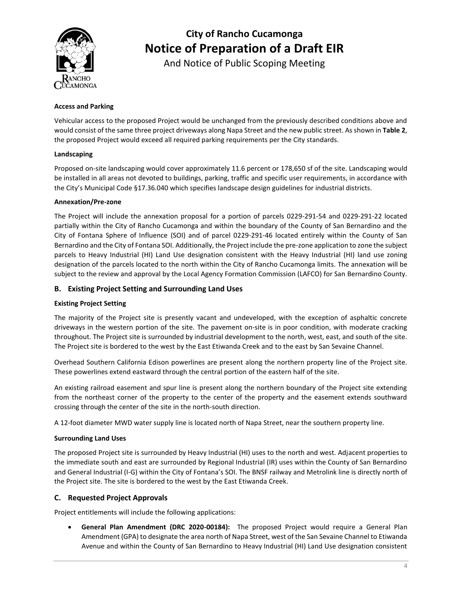

And Notice of Public Scoping Meeting

#### **Access and Parking**

Vehicular access to the proposed Project would be unchanged from the previously described conditions above and would consist of the same three project driveways along Napa Street and the new public street. As shown in **Table 2**, the proposed Project would exceed all required parking requirements per the City standards.

#### **Landscaping**

Proposed on-site landscaping would cover approximately 11.6 percent or 178,650 sf of the site. Landscaping would be installed in all areas not devoted to buildings, parking, traffic and specific user requirements, in accordance with the City's Municipal Code §17.36.040 which specifies landscape design guidelines for industrial districts.

#### **Annexation/Pre-zone**

The Project will include the annexation proposal for a portion of parcels 0229-291-54 and 0229-291-22 located partially within the City of Rancho Cucamonga and within the boundary of the County of San Bernardino and the City of Fontana Sphere of Influence (SOI) and of parcel 0229-291-46 located entirely within the County of San Bernardino and the City of Fontana SOI. Additionally, the Project include the pre-zone application to zone the subject parcels to Heavy Industrial (HI) Land Use designation consistent with the Heavy Industrial (HI) land use zoning designation of the parcels located to the north within the City of Rancho Cucamonga limits. The annexation will be subject to the review and approval by the Local Agency Formation Commission (LAFCO) for San Bernardino County.

### **B. Existing Project Setting and Surrounding Land Uses**

### **Existing Project Setting**

The majority of the Project site is presently vacant and undeveloped, with the exception of asphaltic concrete driveways in the western portion of the site. The pavement on-site is in poor condition, with moderate cracking throughout. The Project site is surrounded by industrial development to the north, west, east, and south of the site. The Project site is bordered to the west by the East Etiwanda Creek and to the east by San Sevaine Channel.

Overhead Southern California Edison powerlines are present along the northern property line of the Project site. These powerlines extend eastward through the central portion of the eastern half of the site.

An existing railroad easement and spur line is present along the northern boundary of the Project site extending from the northeast corner of the property to the center of the property and the easement extends southward crossing through the center of the site in the north-south direction.

A 12-foot diameter MWD water supply line is located north of Napa Street, near the southern property line.

#### **Surrounding Land Uses**

The proposed Project site is surrounded by Heavy Industrial (HI) uses to the north and west. Adjacent properties to the immediate south and east are surrounded by Regional Industrial (IR) uses within the County of San Bernardino and General Industrial (I-G) within the City of Fontana's SOI. The BNSF railway and Metrolink line is directly north of the Project site. The site is bordered to the west by the East Etiwanda Creek.

### **C. Requested Project Approvals**

Project entitlements will include the following applications:

• **General Plan Amendment (DRC 2020-00184):** The proposed Project would require a General Plan Amendment (GPA) to designate the area north of Napa Street, west of the San Sevaine Channel to Etiwanda Avenue and within the County of San Bernardino to Heavy Industrial (HI) Land Use designation consistent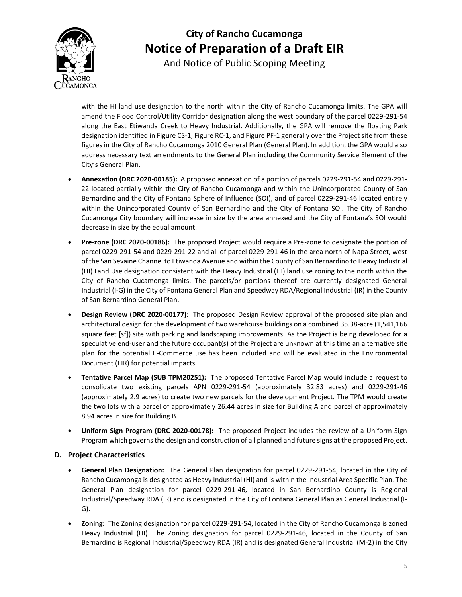

And Notice of Public Scoping Meeting

with the HI land use designation to the north within the City of Rancho Cucamonga limits. The GPA will amend the Flood Control/Utility Corridor designation along the west boundary of the parcel 0229-291-54 along the East Etiwanda Creek to Heavy Industrial. Additionally, the GPA will remove the floating Park designation identified in Figure CS-1, Figure RC-1, and Figure PF-1 generally over the Project site from these figures in the City of Rancho Cucamonga 2010 General Plan (General Plan). In addition, the GPA would also address necessary text amendments to the General Plan including the Community Service Element of the City's General Plan.

- **Annexation (DRC 2020-00185):** A proposed annexation of a portion of parcels 0229-291-54 and 0229-291- 22 located partially within the City of Rancho Cucamonga and within the Unincorporated County of San Bernardino and the City of Fontana Sphere of Influence (SOI), and of parcel 0229-291-46 located entirely within the Unincorporated County of San Bernardino and the City of Fontana SOI. The City of Rancho Cucamonga City boundary will increase in size by the area annexed and the City of Fontana's SOI would decrease in size by the equal amount.
- **Pre-zone (DRC 2020-00186):** The proposed Project would require a Pre-zone to designate the portion of parcel 0229-291-54 and 0229-291-22 and all of parcel 0229-291-46 in the area north of Napa Street, west of the San Sevaine Channel to Etiwanda Avenue and within the County of San Bernardino to Heavy Industrial (HI) Land Use designation consistent with the Heavy Industrial (HI) land use zoning to the north within the City of Rancho Cucamonga limits. The parcels/or portions thereof are currently designated General Industrial (I-G) in the City of Fontana General Plan and Speedway RDA/Regional Industrial (IR) in the County of San Bernardino General Plan.
- **Design Review (DRC 2020-00177):** The proposed Design Review approval of the proposed site plan and architectural design for the development of two warehouse buildings on a combined 35.38-acre (1,541,166 square feet [sf]) site with parking and landscaping improvements. As the Project is being developed for a speculative end-user and the future occupant(s) of the Project are unknown at this time an alternative site plan for the potential E-Commerce use has been included and will be evaluated in the Environmental Document (EIR) for potential impacts.
- **Tentative Parcel Map (SUB TPM20251):** The proposed Tentative Parcel Map would include a request to consolidate two existing parcels APN 0229-291-54 (approximately 32.83 acres) and 0229-291-46 (approximately 2.9 acres) to create two new parcels for the development Project. The TPM would create the two lots with a parcel of approximately 26.44 acres in size for Building A and parcel of approximately 8.94 acres in size for Building B.
- **Uniform Sign Program (DRC 2020-00178):** The proposed Project includes the review of a Uniform Sign Program which governs the design and construction of all planned and future signs at the proposed Project.

### **D. Project Characteristics**

- **General Plan Designation:** The General Plan designation for parcel 0229-291-54, located in the City of Rancho Cucamonga is designated as Heavy Industrial (HI) and is within the Industrial Area Specific Plan. The General Plan designation for parcel 0229-291-46, located in San Bernardino County is Regional Industrial/Speedway RDA (IR) and is designated in the City of Fontana General Plan as General Industrial (I-G).
- **Zoning:** The Zoning designation for parcel 0229-291-54, located in the City of Rancho Cucamonga is zoned Heavy Industrial (HI). The Zoning designation for parcel 0229-291-46, located in the County of San Bernardino is Regional Industrial/Speedway RDA (IR) and is designated General Industrial (M-2) in the City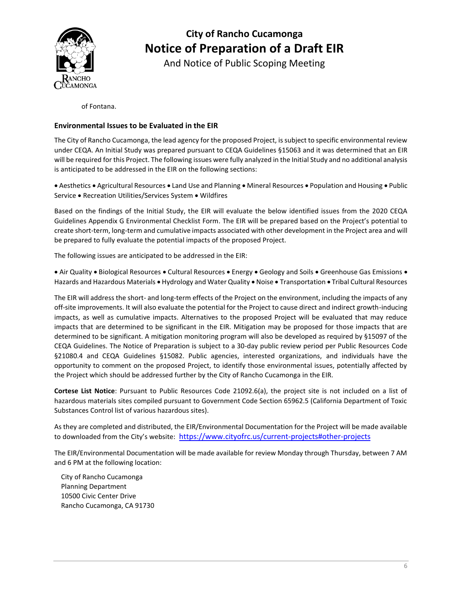

And Notice of Public Scoping Meeting

of Fontana.

### **Environmental Issues to be Evaluated in the EIR**

The City of Rancho Cucamonga, the lead agency for the proposed Project, is subject to specific environmental review under CEQA. An Initial Study was prepared pursuant to CEQA Guidelines §15063 and it was determined that an EIR will be required for this Project. The following issues were fully analyzed in the Initial Study and no additional analysis is anticipated to be addressed in the EIR on the following sections:

• Aesthetics • Agricultural Resources • Land Use and Planning • Mineral Resources • Population and Housing • Public Service • Recreation Utilities/Services System • Wildfires

Based on the findings of the Initial Study, the EIR will evaluate the below identified issues from the 2020 CEQA Guidelines Appendix G Environmental Checklist Form. The EIR will be prepared based on the Project's potential to create short-term, long-term and cumulative impacts associated with other development in the Project area and will be prepared to fully evaluate the potential impacts of the proposed Project.

The following issues are anticipated to be addressed in the EIR:

• Air Quality • Biological Resources • Cultural Resources • Energy • Geology and Soils • Greenhouse Gas Emissions • Hazards and Hazardous Materials • Hydrology and Water Quality • Noise • Transportation • Tribal Cultural Resources

The EIR will address the short- and long-term effects of the Project on the environment, including the impacts of any off-site improvements. It will also evaluate the potential for the Project to cause direct and indirect growth-inducing impacts, as well as cumulative impacts. Alternatives to the proposed Project will be evaluated that may reduce impacts that are determined to be significant in the EIR. Mitigation may be proposed for those impacts that are determined to be significant. A mitigation monitoring program will also be developed as required by §15097 of the CEQA Guidelines. The Notice of Preparation is subject to a 30-day public review period per Public Resources Code §21080.4 and CEQA Guidelines §15082. Public agencies, interested organizations, and individuals have the opportunity to comment on the proposed Project, to identify those environmental issues, potentially affected by the Project which should be addressed further by the City of Rancho Cucamonga in the EIR.

**Cortese List Notice**: Pursuant to Public Resources Code 21092.6(a), the project site is not included on a list of hazardous materials sites compiled pursuant to Government Code Section 65962.5 (California Department of Toxic Substances Control list of various hazardous sites).

As they are completed and distributed, the EIR/Environmental Documentation for the Project will be made available to downloaded from the City's website: <https://www.cityofrc.us/current-projects#other-projects>

The EIR/Environmental Documentation will be made available for review Monday through Thursday, between 7 AM and 6 PM at the following location:

City of Rancho Cucamonga Planning Department 10500 Civic Center Drive Rancho Cucamonga, CA 91730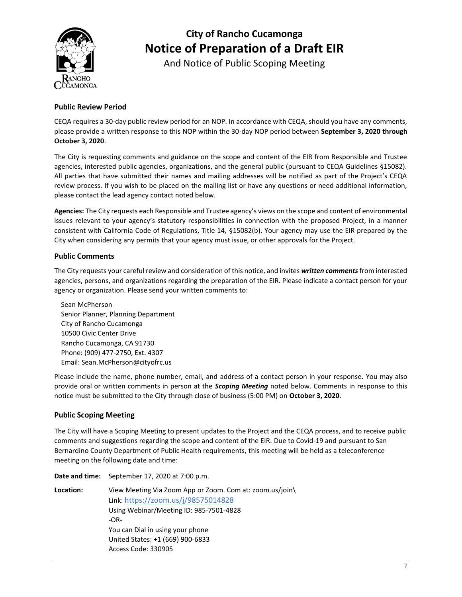

And Notice of Public Scoping Meeting

### **Public Review Period**

CEQA requires a 30-day public review period for an NOP. In accordance with CEQA, should you have any comments, please provide a written response to this NOP within the 30-day NOP period between **September 3, 2020 through October 3, 2020**.

The City is requesting comments and guidance on the scope and content of the EIR from Responsible and Trustee agencies, interested public agencies, organizations, and the general public (pursuant to CEQA Guidelines §15082). All parties that have submitted their names and mailing addresses will be notified as part of the Project's CEQA review process. If you wish to be placed on the mailing list or have any questions or need additional information, please contact the lead agency contact noted below.

**Agencies:** The City requests each Responsible and Trustee agency's views on the scope and content of environmental issues relevant to your agency's statutory responsibilities in connection with the proposed Project, in a manner consistent with California Code of Regulations, Title 14, §15082(b). Your agency may use the EIR prepared by the City when considering any permits that your agency must issue, or other approvals for the Project.

### **Public Comments**

The City requests your careful review and consideration of this notice, and invites *written comments*from interested agencies, persons, and organizations regarding the preparation of the EIR. Please indicate a contact person for your agency or organization. Please send your written comments to:

Sean McPherson Senior Planner, Planning Department City of Rancho Cucamonga 10500 Civic Center Drive Rancho Cucamonga, CA 91730 Phone: (909) 477-2750, Ext. 4307 Email: Sean.McPherson@cityofrc.us

Please include the name, phone number, email, and address of a contact person in your response. You may also provide oral or written comments in person at the *Scoping Meeting* noted below. Comments in response to this notice must be submitted to the City through close of business (5:00 PM) on **October 3, 2020**.

#### **Public Scoping Meeting**

The City will have a Scoping Meeting to present updates to the Project and the CEQA process, and to receive public comments and suggestions regarding the scope and content of the EIR. Due to Covid-19 and pursuant to San Bernardino County Department of Public Health requirements, this meeting will be held as a teleconference meeting on the following date and time:

|           | Date and time: September 17, 2020 at 7:00 p.m.           |
|-----------|----------------------------------------------------------|
| Location: | View Meeting Via Zoom App or Zoom. Com at: zoom.us/join\ |
|           | Link: https://zoom.us/j/98575014828                      |
|           | Using Webinar/Meeting ID: 985-7501-4828                  |
|           | $-OR-$                                                   |
|           | You can Dial in using your phone                         |
|           | United States: +1 (669) 900-6833                         |
|           | Access Code: 330905                                      |